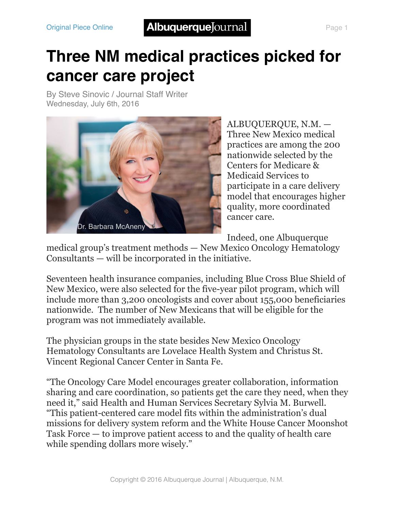## **Three NM medical practices picked for cancer care project**

By [Steve Sinovic / Journal Staff Writer](http://www.abqjournal.com/author/ssinovic) Wednesday, July 6th, 2016



ALBUQUERQUE, N.M. — Three New Mexico medical practices are among the 200 nationwide selected by the Centers for Medicare & Medicaid Services to participate in a care delivery model that encourages higher quality, more coordinated cancer care.

Indeed, one Albuquerque

medical group's treatment methods — New Mexico Oncology Hematology Consultants — will be incorporated in the initiative.

Seventeen health insurance companies, including Blue Cross Blue Shield of New Mexico, were also selected for the five-year pilot program, which will include more than 3,200 oncologists and cover about 155,000 beneficiaries nationwide. The number of New Mexicans that will be eligible for the program was not immediately available.

The physician groups in the state besides New Mexico Oncology Hematology Consultants are Lovelace Health System and Christus St. Vincent Regional Cancer Center in Santa Fe.

"The Oncology Care Model encourages greater collaboration, information sharing and care coordination, so patients get the care they need, when they need it," said Health and Human Services Secretary Sylvia M. Burwell. "This patient-centered care model fits within the administration's dual missions for delivery system reform and the White House Cancer Moonshot Task Force — to improve patient access to and the quality of health care while spending dollars more wisely."